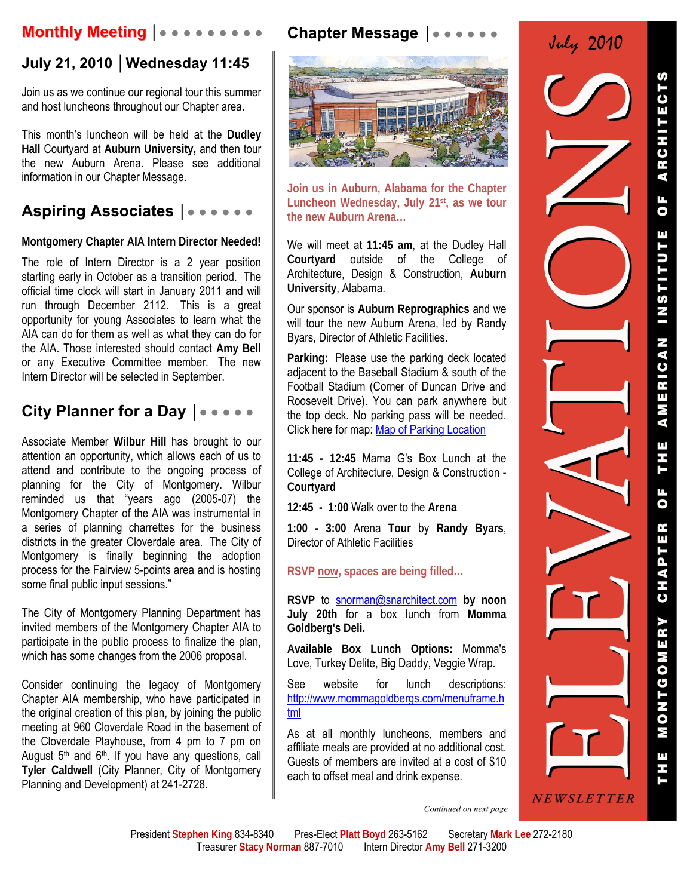# **Monthly Meeting │● ● ● ● ● ● ● ● ●**

## **July 21, 2010 │Wednesday 11:45**

Join us as we continue our regional tour this summer and host luncheons throughout our Chapter area.

This month's luncheon will be held at the **Dudley Hall** Courtyard at **Auburn University,** and then tour the new Auburn Arena. Please see additional information in our Chapter Message.

# **Aspiring Associates │**● ● ● ● ● ●

**Montgomery Chapter AIA Intern Director Needed!** 

The role of Intern Director is a 2 year position starting early in October as a transition period. The official time clock will start in January 2011 and will run through December 2112. This is a great opportunity for young Associates to learn what the AIA can do for them as well as what they can do for the AIA. Those interested should contact **Amy Bell** or any Executive Committee member. The new Intern Director will be selected in September.

## **City Planner for a Day │**● ● ● ● ●

Associate Member **Wilbur Hill** has brought to our attention an opportunity, which allows each of us to attend and contribute to the ongoing process of planning for the City of Montgomery. Wilbur reminded us that "years ago (2005-07) the Montgomery Chapter of the AIA was instrumental in a series of planning charrettes for the business districts in the greater Cloverdale area. The City of Montgomery is finally beginning the adoption process for the Fairview 5-points area and is hosting some final public input sessions."

The City of Montgomery Planning Department has invited members of the Montgomery Chapter AIA to participate in the public process to finalize the plan, which has some changes from the 2006 proposal.

Consider continuing the legacy of Montgomery Chapter AIA membership, who have participated in the original creation of this plan, by joining the public meeting at 960 Cloverdale Road in the basement of the Cloverdale Playhouse, from 4 pm to 7 pm on August  $5<sup>th</sup>$  and  $6<sup>th</sup>$ . If you have any questions, call **Tyler Caldwell** (City Planner, City of Montgomery Planning and Development) at 241-2728.



**Chapter Message** │● ● ● ● ● ●

**Join us in Auburn, Alabama for the Chapter Luncheon Wednesday, July 21st, as we tour the new Auburn Arena…** 

We will meet at **11:45 am**, at the Dudley Hall **Courtyard** outside of the College of Architecture, Design & Construction, **Auburn University**, Alabama.

Our sponsor is **Auburn Reprographics** and we will tour the new Auburn Arena, led by Randy Byars, Director of Athletic Facilities.

**Parking:** Please use the parking deck located adjacent to the Baseball Stadium & south of the Football Stadium (Corner of Duncan Drive and Roosevelt Drive). You can park anywhere but the top deck. No parking pass will be needed. Click here for map: Map of Parking Location

**11:45 - 12:45** Mama G's Box Lunch at the College of Architecture, Design & Construction - **Courtyard**

**12:45 - 1:00** Walk over to the **Arena**

**1:00 - 3:00** Arena **Tour** by **Randy Byars**, Director of Athletic Facilities

**RSVP now, spaces are being filled…** 

**RSVP** to snorman@snarchitect.com **by noon July 20th** for a box lunch from **Momma Goldberg's Deli.**

**Available Box Lunch Options:** Momma's Love, Turkey Delite, Big Daddy, Veggie Wrap.

See website for lunch descriptions: http://www.mommagoldbergs.com/menuframe.h tml

As at all monthly luncheons, members and affiliate meals are provided at no additional cost. Guests of members are invited at a cost of \$10 each to offset meal and drink expense.

July 2010

**ARCHITECTS**  $\overline{0}$ AMERICAN INSTITUTE THE OF CHAPTER MONTGOMERY NEWSLETTER

Continued on next page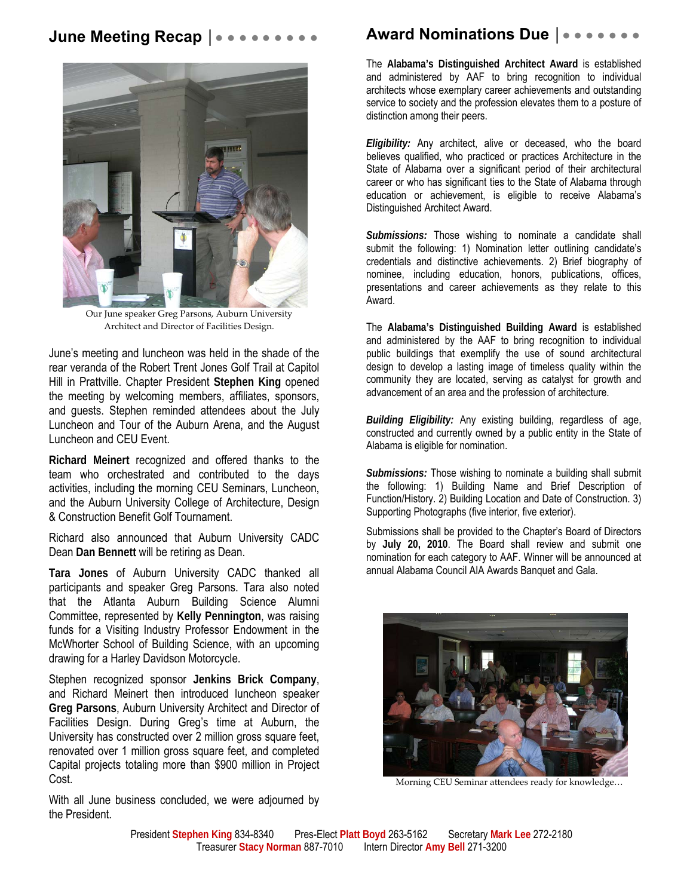#### **June Meeting Recap | ● ● ● ● ● ● ●**



Our June speaker Greg Parsons, Auburn University Architect and Director of Facilities Design.

June's meeting and luncheon was held in the shade of the rear veranda of the Robert Trent Jones Golf Trail at Capitol Hill in Prattville. Chapter President **Stephen King** opened the meeting by welcoming members, affiliates, sponsors, and guests. Stephen reminded attendees about the July Luncheon and Tour of the Auburn Arena, and the August Luncheon and CEU Event.

**Richard Meinert** recognized and offered thanks to the team who orchestrated and contributed to the days activities, including the morning CEU Seminars, Luncheon, and the Auburn University College of Architecture, Design & Construction Benefit Golf Tournament.

Richard also announced that Auburn University CADC Dean **Dan Bennett** will be retiring as Dean.

**Tara Jones** of Auburn University CADC thanked all participants and speaker Greg Parsons. Tara also noted that the Atlanta Auburn Building Science Alumni Committee, represented by **Kelly Pennington**, was raising funds for a Visiting Industry Professor Endowment in the McWhorter School of Building Science, with an upcoming drawing for a Harley Davidson Motorcycle.

Stephen recognized sponsor **Jenkins Brick Company**, and Richard Meinert then introduced luncheon speaker **Greg Parsons**, Auburn University Architect and Director of Facilities Design. During Greg's time at Auburn, the University has constructed over 2 million gross square feet, renovated over 1 million gross square feet, and completed Capital projects totaling more than \$900 million in Project Cost.

With all June business concluded, we were adjourned by the President.

### **Award Nominations Due |● ● ● ●**

The **Alabama's Distinguished Architect Award** is established and administered by AAF to bring recognition to individual architects whose exemplary career achievements and outstanding service to society and the profession elevates them to a posture of distinction among their peers.

*Eligibility:* Any architect, alive or deceased, who the board believes qualified, who practiced or practices Architecture in the State of Alabama over a significant period of their architectural career or who has significant ties to the State of Alabama through education or achievement, is eligible to receive Alabama's Distinguished Architect Award.

*Submissions:* Those wishing to nominate a candidate shall submit the following: 1) Nomination letter outlining candidate's credentials and distinctive achievements. 2) Brief biography of nominee, including education, honors, publications, offices, presentations and career achievements as they relate to this Award.

The **Alabama's Distinguished Building Award** is established and administered by the AAF to bring recognition to individual public buildings that exemplify the use of sound architectural design to develop a lasting image of timeless quality within the community they are located, serving as catalyst for growth and advancement of an area and the profession of architecture.

*Building Eligibility:* Any existing building, regardless of age, constructed and currently owned by a public entity in the State of Alabama is eligible for nomination.

*Submissions:* Those wishing to nominate a building shall submit the following: 1) Building Name and Brief Description of Function/History. 2) Building Location and Date of Construction. 3) Supporting Photographs (five interior, five exterior).

Submissions shall be provided to the Chapter's Board of Directors by **July 20, 2010**. The Board shall review and submit one nomination for each category to AAF. Winner will be announced at annual Alabama Council AIA Awards Banquet and Gala.



Morning CEU Seminar attendees ready for knowledge…